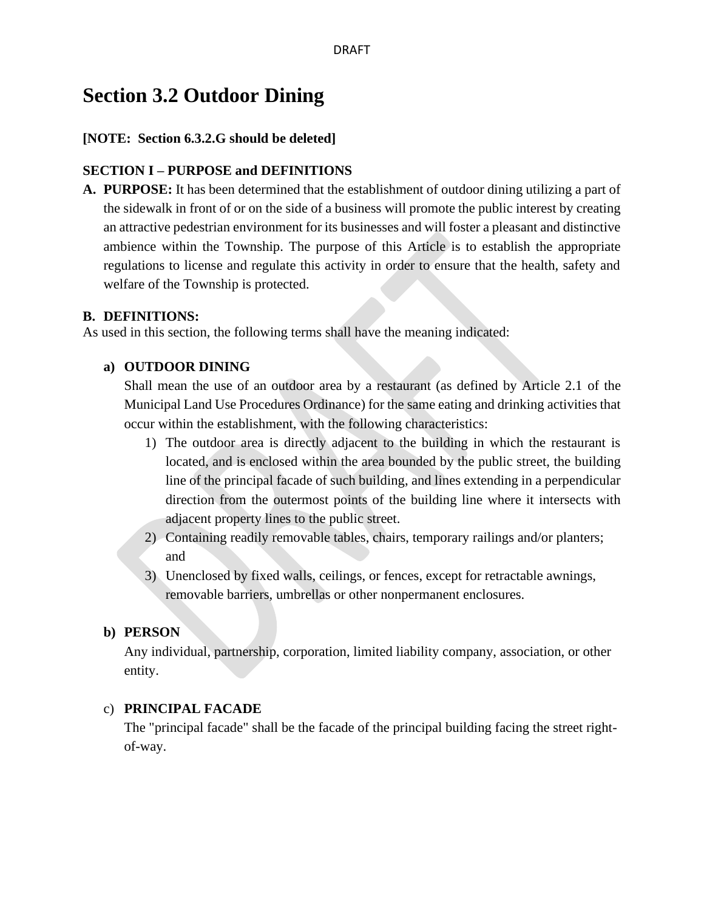# **Section 3.2 Outdoor Dining**

#### **[NOTE: Section 6.3.2.G should be deleted]**

## **SECTION I – PURPOSE and DEFINITIONS**

**A. PURPOSE:** It has been determined that the establishment of outdoor dining utilizing a part of the sidewalk in front of or on the side of a business will promote the public interest by creating an attractive pedestrian environment for its businesses and will foster a pleasant and distinctive ambience within the Township. The purpose of this Article is to establish the appropriate regulations to license and regulate this activity in order to ensure that the health, safety and welfare of the Township is protected.

#### **B. DEFINITIONS:**

As used in this section, the following terms shall have the meaning indicated:

#### **a) OUTDOOR DINING**

Shall mean the use of an outdoor area by a restaurant (as defined by Article 2.1 of the Municipal Land Use Procedures Ordinance) for the same eating and drinking activities that occur within the establishment, with the following characteristics:

- 1) The outdoor area is directly adjacent to the building in which the restaurant is located, and is enclosed within the area bounded by the public street, the building line of the principal facade of such building, and lines extending in a perpendicular direction from the outermost points of the building line where it intersects with adjacent property lines to the public street.
- 2) Containing readily removable tables, chairs, temporary railings and/or planters; and
- 3) Unenclosed by fixed walls, ceilings, or fences, except for retractable awnings, removable barriers, umbrellas or other nonpermanent enclosures.

#### **b) PERSON**

Any individual, partnership, corporation, limited liability company, association, or other entity.

## c) **PRINCIPAL FACADE**

The "principal facade" shall be the facade of the principal building facing the street rightof-way.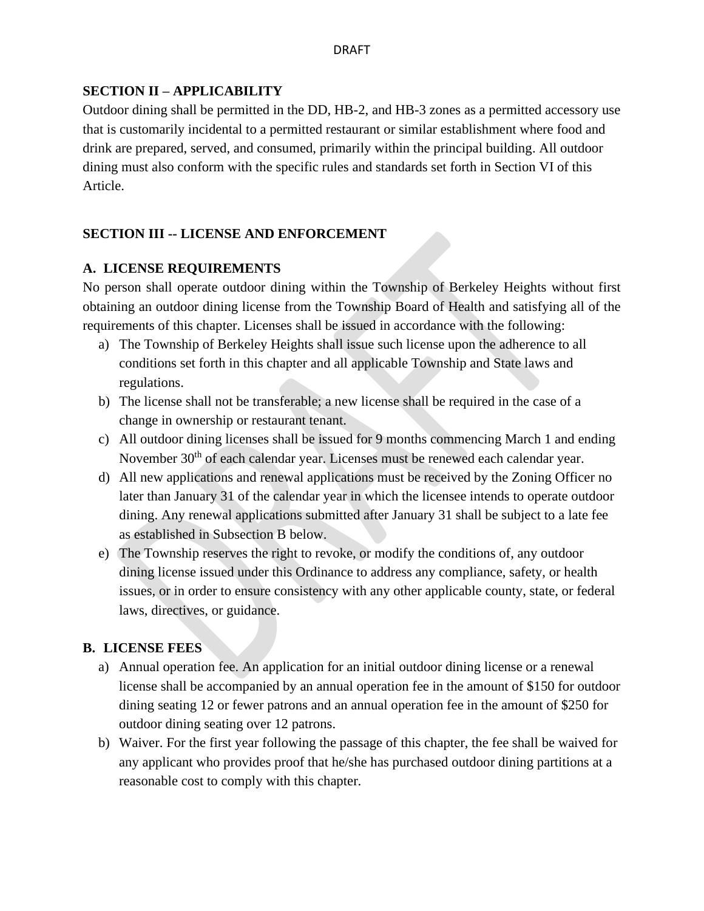# **SECTION II – APPLICABILITY**

Outdoor dining shall be permitted in the DD, HB-2, and HB-3 zones as a permitted accessory use that is customarily incidental to a permitted restaurant or similar establishment where food and drink are prepared, served, and consumed, primarily within the principal building. All outdoor dining must also conform with the specific rules and standards set forth in Section VI of this Article.

# **SECTION III -- LICENSE AND ENFORCEMENT**

# **A. LICENSE REQUIREMENTS**

No person shall operate outdoor dining within the Township of Berkeley Heights without first obtaining an outdoor dining license from the Township Board of Health and satisfying all of the requirements of this chapter. Licenses shall be issued in accordance with the following:

- a) The Township of Berkeley Heights shall issue such license upon the adherence to all conditions set forth in this chapter and all applicable Township and State laws and regulations.
- b) The license shall not be transferable; a new license shall be required in the case of a change in ownership or restaurant tenant.
- c) All outdoor dining licenses shall be issued for 9 months commencing March 1 and ending November 30<sup>th</sup> of each calendar year. Licenses must be renewed each calendar year.
- d) All new applications and renewal applications must be received by the Zoning Officer no later than January 31 of the calendar year in which the licensee intends to operate outdoor dining. Any renewal applications submitted after January 31 shall be subject to a late fee as established in Subsection B below.
- e) The Township reserves the right to revoke, or modify the conditions of, any outdoor dining license issued under this Ordinance to address any compliance, safety, or health issues, or in order to ensure consistency with any other applicable county, state, or federal laws, directives, or guidance.

# **B. LICENSE FEES**

- a) Annual operation fee. An application for an initial outdoor dining license or a renewal license shall be accompanied by an annual operation fee in the amount of \$150 for outdoor dining seating 12 or fewer patrons and an annual operation fee in the amount of \$250 for outdoor dining seating over 12 patrons.
- b) Waiver. For the first year following the passage of this chapter, the fee shall be waived for any applicant who provides proof that he/she has purchased outdoor dining partitions at a reasonable cost to comply with this chapter.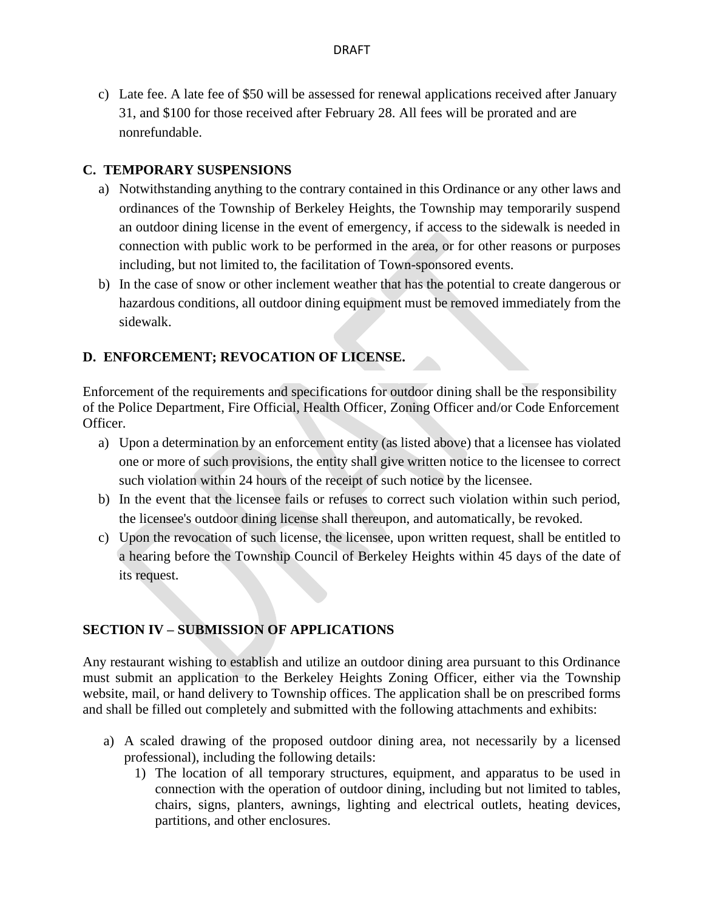c) Late fee. A late fee of \$50 will be assessed for renewal applications received after January 31, and \$100 for those received after February 28. All fees will be prorated and are nonrefundable.

### **C. TEMPORARY SUSPENSIONS**

- a) Notwithstanding anything to the contrary contained in this Ordinance or any other laws and ordinances of the Township of Berkeley Heights, the Township may temporarily suspend an outdoor dining license in the event of emergency, if access to the sidewalk is needed in connection with public work to be performed in the area, or for other reasons or purposes including, but not limited to, the facilitation of Town-sponsored events.
- b) In the case of snow or other inclement weather that has the potential to create dangerous or hazardous conditions, all outdoor dining equipment must be removed immediately from the sidewalk.

## **D. ENFORCEMENT; REVOCATION OF LICENSE.**

Enforcement of the requirements and specifications for outdoor dining shall be the responsibility of the Police Department, Fire Official, Health Officer, Zoning Officer and/or Code Enforcement Officer.

- a) Upon a determination by an enforcement entity (as listed above) that a licensee has violated one or more of such provisions, the entity shall give written notice to the licensee to correct such violation within 24 hours of the receipt of such notice by the licensee.
- b) In the event that the licensee fails or refuses to correct such violation within such period, the licensee's outdoor dining license shall thereupon, and automatically, be revoked.
- c) Upon the revocation of such license, the licensee, upon written request, shall be entitled to a hearing before the Township Council of Berkeley Heights within 45 days of the date of its request.

## **SECTION IV – SUBMISSION OF APPLICATIONS**

Any restaurant wishing to establish and utilize an outdoor dining area pursuant to this Ordinance must submit an application to the Berkeley Heights Zoning Officer, either via the Township website, mail, or hand delivery to Township offices. The application shall be on prescribed forms and shall be filled out completely and submitted with the following attachments and exhibits:

- a) A scaled drawing of the proposed outdoor dining area, not necessarily by a licensed professional), including the following details:
	- 1) The location of all temporary structures, equipment, and apparatus to be used in connection with the operation of outdoor dining, including but not limited to tables, chairs, signs, planters, awnings, lighting and electrical outlets, heating devices, partitions, and other enclosures.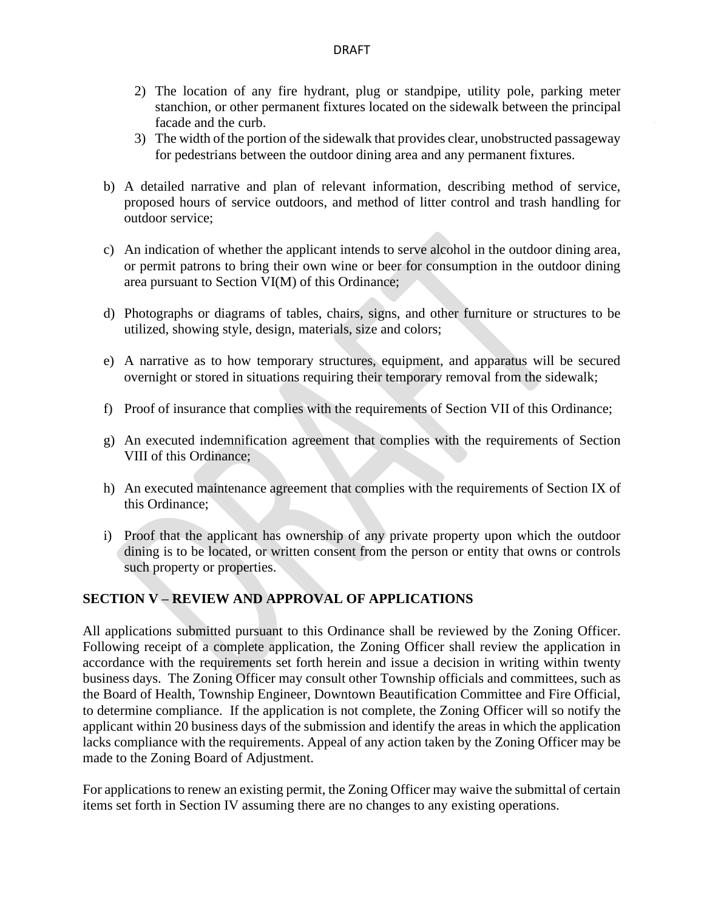- 2) The location of any fire hydrant, plug or standpipe, utility pole, parking meter stanchion, or other permanent fixtures located on the sidewalk between the principal facade and the curb.
- 3) The width of the portion of the sidewalk that provides clear, unobstructed passageway for pedestrians between the outdoor dining area and any permanent fixtures.
- b) A detailed narrative and plan of relevant information, describing method of service, proposed hours of service outdoors, and method of litter control and trash handling for outdoor service;
- c) An indication of whether the applicant intends to serve alcohol in the outdoor dining area, or permit patrons to bring their own wine or beer for consumption in the outdoor dining area pursuant to Section VI(M) of this Ordinance;
- d) Photographs or diagrams of tables, chairs, signs, and other furniture or structures to be utilized, showing style, design, materials, size and colors;
- e) A narrative as to how temporary structures, equipment, and apparatus will be secured overnight or stored in situations requiring their temporary removal from the sidewalk;
- f) Proof of insurance that complies with the requirements of Section VII of this Ordinance;
- g) An executed indemnification agreement that complies with the requirements of Section VIII of this Ordinance;
- h) An executed maintenance agreement that complies with the requirements of Section IX of this Ordinance;
- i) Proof that the applicant has ownership of any private property upon which the outdoor dining is to be located, or written consent from the person or entity that owns or controls such property or properties.

## **SECTION V – REVIEW AND APPROVAL OF APPLICATIONS**

All applications submitted pursuant to this Ordinance shall be reviewed by the Zoning Officer. Following receipt of a complete application, the Zoning Officer shall review the application in accordance with the requirements set forth herein and issue a decision in writing within twenty business days. The Zoning Officer may consult other Township officials and committees, such as the Board of Health, Township Engineer, Downtown Beautification Committee and Fire Official, to determine compliance. If the application is not complete, the Zoning Officer will so notify the applicant within 20 business days of the submission and identify the areas in which the application lacks compliance with the requirements. Appeal of any action taken by the Zoning Officer may be made to the Zoning Board of Adjustment.

For applications to renew an existing permit, the Zoning Officer may waive the submittal of certain items set forth in Section IV assuming there are no changes to any existing operations.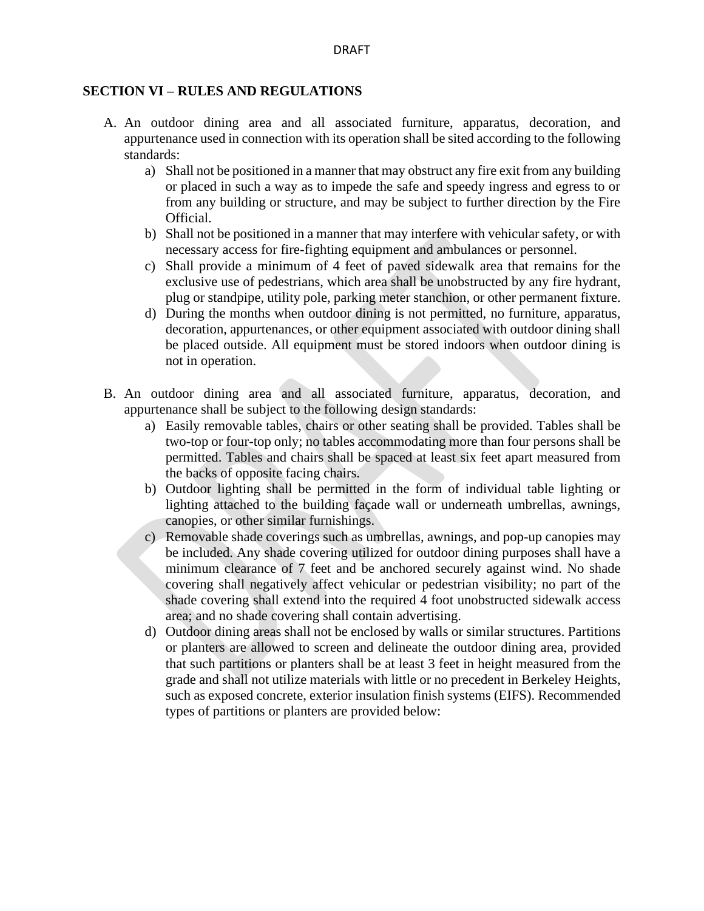#### **SECTION VI – RULES AND REGULATIONS**

- A. An outdoor dining area and all associated furniture, apparatus, decoration, and appurtenance used in connection with its operation shall be sited according to the following standards:
	- a) Shall not be positioned in a manner that may obstruct any fire exit from any building or placed in such a way as to impede the safe and speedy ingress and egress to or from any building or structure, and may be subject to further direction by the Fire Official.
	- b) Shall not be positioned in a manner that may interfere with vehicular safety, or with necessary access for fire-fighting equipment and ambulances or personnel.
	- c) Shall provide a minimum of 4 feet of paved sidewalk area that remains for the exclusive use of pedestrians, which area shall be unobstructed by any fire hydrant, plug or standpipe, utility pole, parking meter stanchion, or other permanent fixture.
	- d) During the months when outdoor dining is not permitted, no furniture, apparatus, decoration, appurtenances, or other equipment associated with outdoor dining shall be placed outside. All equipment must be stored indoors when outdoor dining is not in operation.
- B. An outdoor dining area and all associated furniture, apparatus, decoration, and appurtenance shall be subject to the following design standards:
	- a) Easily removable tables, chairs or other seating shall be provided. Tables shall be two-top or four-top only; no tables accommodating more than four persons shall be permitted. Tables and chairs shall be spaced at least six feet apart measured from the backs of opposite facing chairs.
	- b) Outdoor lighting shall be permitted in the form of individual table lighting or lighting attached to the building façade wall or underneath umbrellas, awnings, canopies, or other similar furnishings.
	- c) Removable shade coverings such as umbrellas, awnings, and pop-up canopies may be included. Any shade covering utilized for outdoor dining purposes shall have a minimum clearance of 7 feet and be anchored securely against wind. No shade covering shall negatively affect vehicular or pedestrian visibility; no part of the shade covering shall extend into the required 4 foot unobstructed sidewalk access area; and no shade covering shall contain advertising.
	- d) Outdoor dining areas shall not be enclosed by walls or similar structures. Partitions or planters are allowed to screen and delineate the outdoor dining area, provided that such partitions or planters shall be at least 3 feet in height measured from the grade and shall not utilize materials with little or no precedent in Berkeley Heights, such as exposed concrete, exterior insulation finish systems (EIFS). Recommended types of partitions or planters are provided below: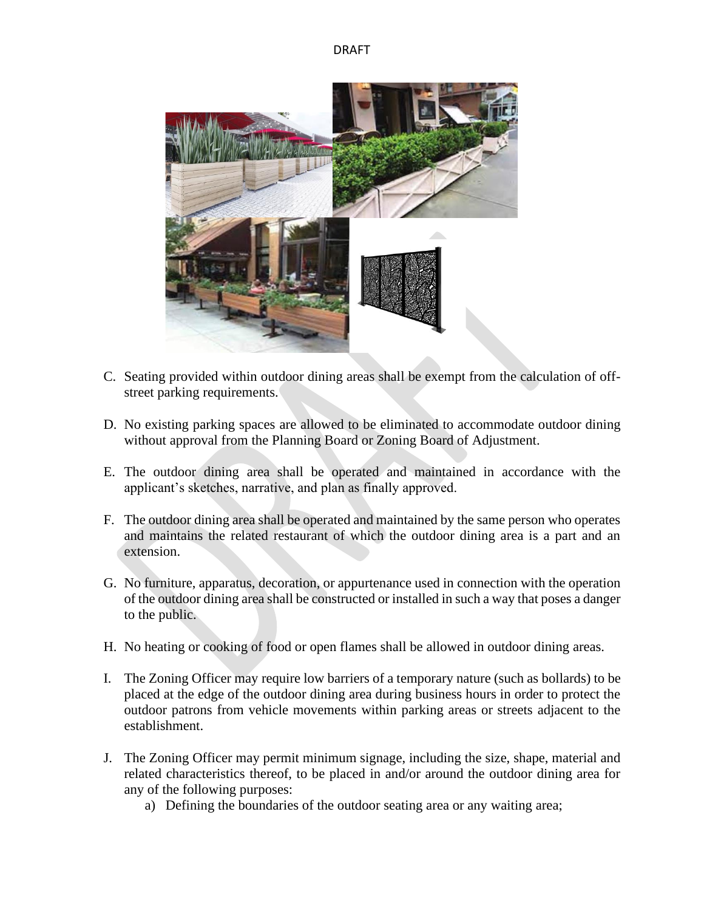DRAFT



- C. Seating provided within outdoor dining areas shall be exempt from the calculation of offstreet parking requirements.
- D. No existing parking spaces are allowed to be eliminated to accommodate outdoor dining without approval from the Planning Board or Zoning Board of Adjustment.
- E. The outdoor dining area shall be operated and maintained in accordance with the applicant's sketches, narrative, and plan as finally approved.
- F. The outdoor dining area shall be operated and maintained by the same person who operates and maintains the related restaurant of which the outdoor dining area is a part and an extension.
- G. No furniture, apparatus, decoration, or appurtenance used in connection with the operation of the outdoor dining area shall be constructed or installed in such a way that poses a danger to the public.
- H. No heating or cooking of food or open flames shall be allowed in outdoor dining areas.
- I. The Zoning Officer may require low barriers of a temporary nature (such as bollards) to be placed at the edge of the outdoor dining area during business hours in order to protect the outdoor patrons from vehicle movements within parking areas or streets adjacent to the establishment.
- J. The Zoning Officer may permit minimum signage, including the size, shape, material and related characteristics thereof, to be placed in and/or around the outdoor dining area for any of the following purposes:
	- a) Defining the boundaries of the outdoor seating area or any waiting area;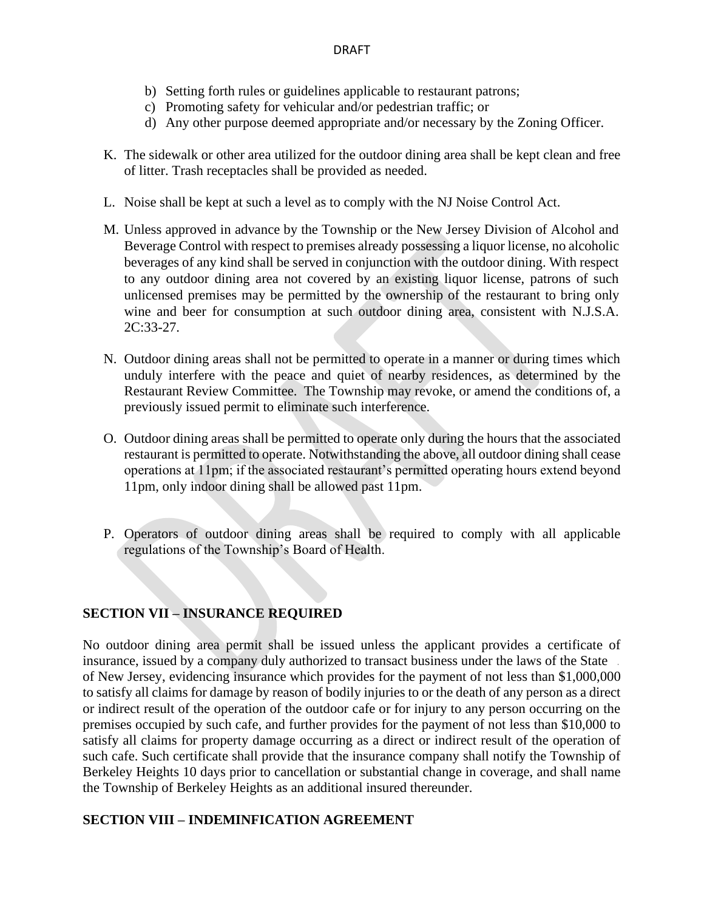- b) Setting forth rules or guidelines applicable to restaurant patrons;
- c) Promoting safety for vehicular and/or pedestrian traffic; or
- d) Any other purpose deemed appropriate and/or necessary by the Zoning Officer.
- K. The sidewalk or other area utilized for the outdoor dining area shall be kept clean and free of litter. Trash receptacles shall be provided as needed.
- L. Noise shall be kept at such a level as to comply with the NJ Noise Control Act.
- M. Unless approved in advance by the Township or the New Jersey Division of Alcohol and Beverage Control with respect to premises already possessing a liquor license, no alcoholic beverages of any kind shall be served in conjunction with the outdoor dining. With respect to any outdoor dining area not covered by an existing liquor license, patrons of such unlicensed premises may be permitted by the ownership of the restaurant to bring only wine and beer for consumption at such outdoor dining area, consistent with N.J.S.A. 2C:33-27.
- N. Outdoor dining areas shall not be permitted to operate in a manner or during times which unduly interfere with the peace and quiet of nearby residences, as determined by the Restaurant Review Committee. The Township may revoke, or amend the conditions of, a previously issued permit to eliminate such interference.
- O. Outdoor dining areas shall be permitted to operate only during the hours that the associated restaurant is permitted to operate. Notwithstanding the above, all outdoor dining shall cease operations at 11pm; if the associated restaurant's permitted operating hours extend beyond 11pm, only indoor dining shall be allowed past 11pm.
- P. Operators of outdoor dining areas shall be required to comply with all applicable regulations of the Township's Board of Health.

## **SECTION VII – INSURANCE REQUIRED**

No outdoor dining area permit shall be issued unless the applicant provides a certificate of insurance, issued by a company duly authorized to transact business under the laws of the State of New Jersey, evidencing insurance which provides for the payment of not less than \$1,000,000 to satisfy all claims for damage by reason of bodily injuries to or the death of any person as a direct or indirect result of the operation of the outdoor cafe or for injury to any person occurring on the premises occupied by such cafe, and further provides for the payment of not less than \$10,000 to satisfy all claims for property damage occurring as a direct or indirect result of the operation of such cafe. Such certificate shall provide that the insurance company shall notify the Township of Berkeley Heights 10 days prior to cancellation or substantial change in coverage, and shall name the Township of Berkeley Heights as an additional insured thereunder.

## **SECTION VIII – INDEMINFICATION AGREEMENT**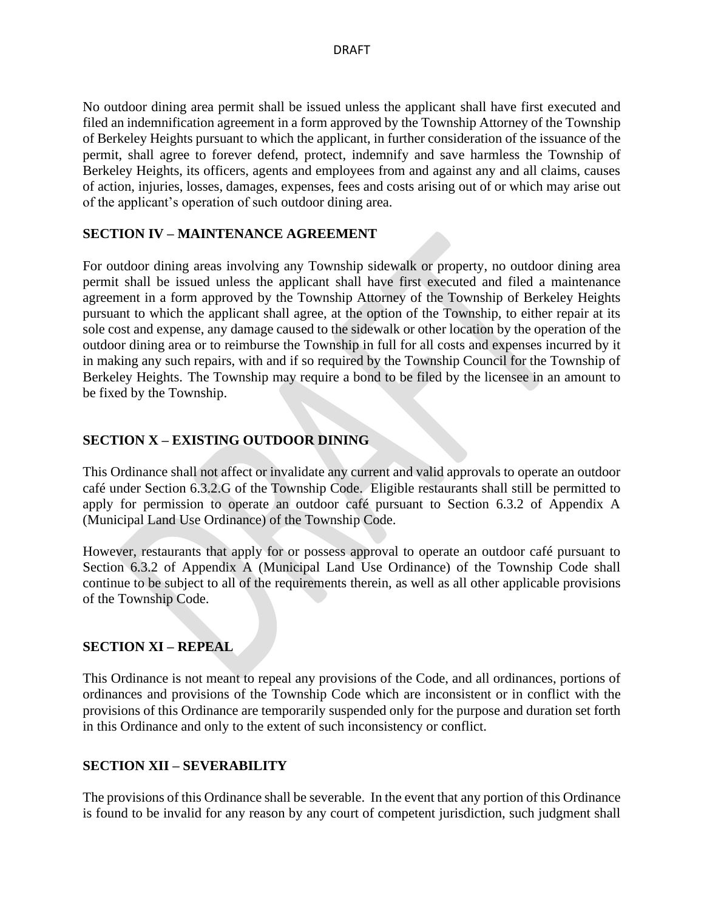No outdoor dining area permit shall be issued unless the applicant shall have first executed and filed an indemnification agreement in a form approved by the Township Attorney of the Township of Berkeley Heights pursuant to which the applicant, in further consideration of the issuance of the permit, shall agree to forever defend, protect, indemnify and save harmless the Township of Berkeley Heights, its officers, agents and employees from and against any and all claims, causes of action, injuries, losses, damages, expenses, fees and costs arising out of or which may arise out of the applicant's operation of such outdoor dining area.

## **SECTION IV – MAINTENANCE AGREEMENT**

For outdoor dining areas involving any Township sidewalk or property, no outdoor dining area permit shall be issued unless the applicant shall have first executed and filed a maintenance agreement in a form approved by the Township Attorney of the Township of Berkeley Heights pursuant to which the applicant shall agree, at the option of the Township, to either repair at its sole cost and expense, any damage caused to the sidewalk or other location by the operation of the outdoor dining area or to reimburse the Township in full for all costs and expenses incurred by it in making any such repairs, with and if so required by the Township Council for the Township of Berkeley Heights. The Township may require a bond to be filed by the licensee in an amount to be fixed by the Township.

## **SECTION X – EXISTING OUTDOOR DINING**

This Ordinance shall not affect or invalidate any current and valid approvals to operate an outdoor café under Section 6.3.2.G of the Township Code. Eligible restaurants shall still be permitted to apply for permission to operate an outdoor café pursuant to Section 6.3.2 of Appendix A (Municipal Land Use Ordinance) of the Township Code.

However, restaurants that apply for or possess approval to operate an outdoor café pursuant to Section 6.3.2 of Appendix A (Municipal Land Use Ordinance) of the Township Code shall continue to be subject to all of the requirements therein, as well as all other applicable provisions of the Township Code.

#### **SECTION XI – REPEAL**

This Ordinance is not meant to repeal any provisions of the Code, and all ordinances, portions of ordinances and provisions of the Township Code which are inconsistent or in conflict with the provisions of this Ordinance are temporarily suspended only for the purpose and duration set forth in this Ordinance and only to the extent of such inconsistency or conflict.

#### **SECTION XII – SEVERABILITY**

The provisions of this Ordinance shall be severable. In the event that any portion of this Ordinance is found to be invalid for any reason by any court of competent jurisdiction, such judgment shall